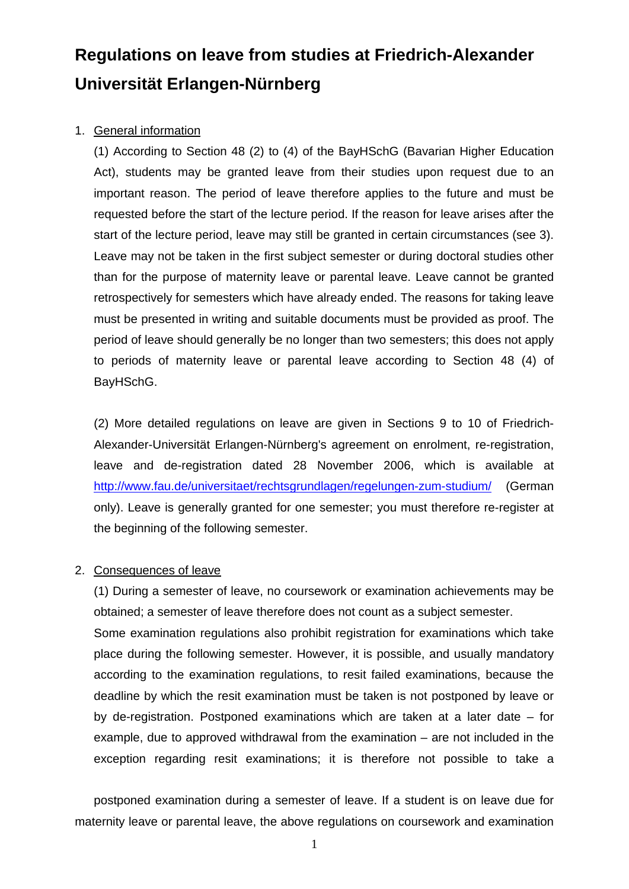# **Regulations on leave from studies at Friedrich-Alexander Universität Erlangen-Nürnberg**

## 1. General information

(1) According to Section 48 (2) to (4) of the BayHSchG (Bavarian Higher Education Act), students may be granted leave from their studies upon request due to an important reason. The period of leave therefore applies to the future and must be requested before the start of the lecture period. If the reason for leave arises after the start of the lecture period, leave may still be granted in certain circumstances (see 3). Leave may not be taken in the first subject semester or during doctoral studies other than for the purpose of maternity leave or parental leave. Leave cannot be granted retrospectively for semesters which have already ended. The reasons for taking leave must be presented in writing and suitable documents must be provided as proof. The period of leave should generally be no longer than two semesters; this does not apply to periods of maternity leave or parental leave according to Section 48 (4) of BayHSchG.

(2) More detailed regulations on leave are given in Sections 9 to 10 of Friedrich-Alexander-Universität Erlangen-Nürnberg's agreement on enrolment, re-registration, leave and de-registration dated 28 November 2006, which is available at http://www.fau.de/universitaet/rechtsgrundlagen/regelungen-zum-studium/ (German only). Leave is generally granted for one semester; you must therefore re-register at the beginning of the following semester.

#### 2. Consequences of leave

 (1) During a semester of leave, no coursework or examination achievements may be obtained; a semester of leave therefore does not count as a subject semester.

 Some examination regulations also prohibit registration for examinations which take place during the following semester. However, it is possible, and usually mandatory according to the examination regulations, to resit failed examinations, because the deadline by which the resit examination must be taken is not postponed by leave or by de-registration. Postponed examinations which are taken at a later date – for example, due to approved withdrawal from the examination – are not included in the exception regarding resit examinations; it is therefore not possible to take a

 postponed examination during a semester of leave. If a student is on leave due for maternity leave or parental leave, the above regulations on coursework and examination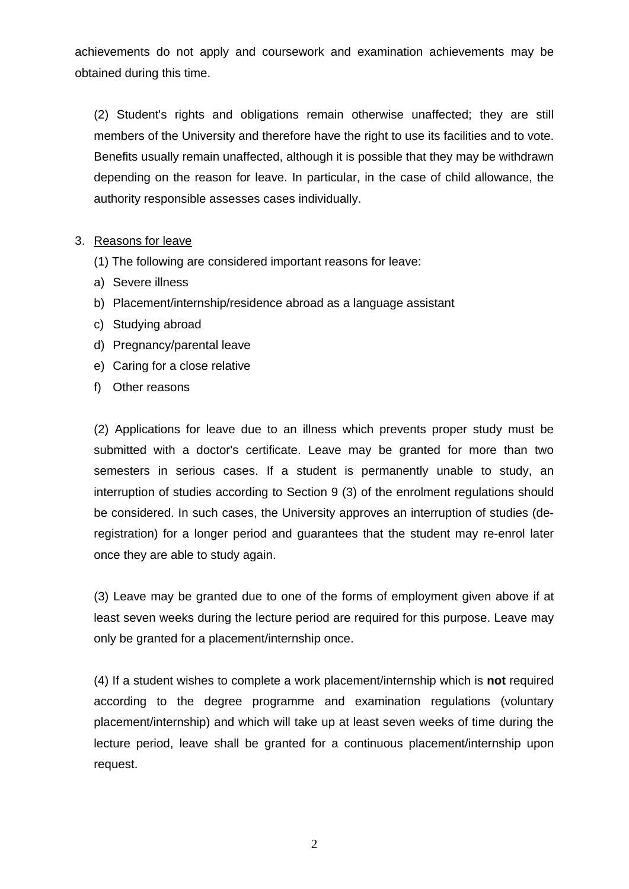achievements do not apply and coursework and examination achievements may be obtained during this time.

 (2) Student's rights and obligations remain otherwise unaffected; they are still members of the University and therefore have the right to use its facilities and to vote. Benefits usually remain unaffected, although it is possible that they may be withdrawn depending on the reason for leave. In particular, in the case of child allowance, the authority responsible assesses cases individually.

### 3. Reasons for leave

- (1) The following are considered important reasons for leave:
- a) Severe illness
- b) Placement/internship/residence abroad as a language assistant
- c) Studying abroad
- d) Pregnancy/parental leave
- e) Caring for a close relative
- f) Other reasons

(2) Applications for leave due to an illness which prevents proper study must be submitted with a doctor's certificate. Leave may be granted for more than two semesters in serious cases. If a student is permanently unable to study, an interruption of studies according to Section 9 (3) of the enrolment regulations should be considered. In such cases, the University approves an interruption of studies (deregistration) for a longer period and guarantees that the student may re-enrol later once they are able to study again.

(3) Leave may be granted due to one of the forms of employment given above if at least seven weeks during the lecture period are required for this purpose. Leave may only be granted for a placement/internship once.

(4) If a student wishes to complete a work placement/internship which is **not** required according to the degree programme and examination regulations (voluntary placement/internship) and which will take up at least seven weeks of time during the lecture period, leave shall be granted for a continuous placement/internship upon request.

2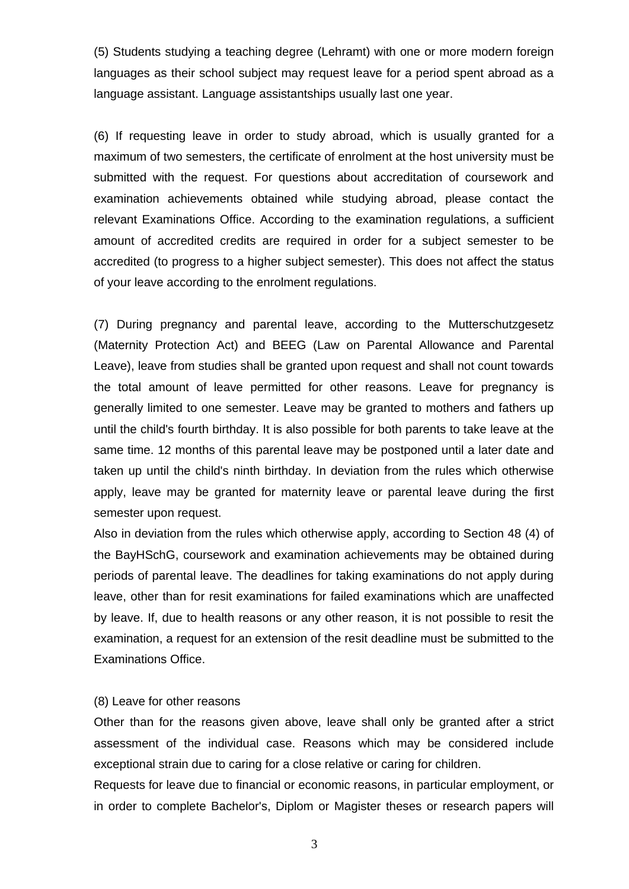(5) Students studying a teaching degree (Lehramt) with one or more modern foreign languages as their school subject may request leave for a period spent abroad as a language assistant. Language assistantships usually last one year.

(6) If requesting leave in order to study abroad, which is usually granted for a maximum of two semesters, the certificate of enrolment at the host university must be submitted with the request. For questions about accreditation of coursework and examination achievements obtained while studying abroad, please contact the relevant Examinations Office. According to the examination regulations, a sufficient amount of accredited credits are required in order for a subject semester to be accredited (to progress to a higher subject semester). This does not affect the status of your leave according to the enrolment regulations.

(7) During pregnancy and parental leave, according to the Mutterschutzgesetz (Maternity Protection Act) and BEEG (Law on Parental Allowance and Parental Leave), leave from studies shall be granted upon request and shall not count towards the total amount of leave permitted for other reasons. Leave for pregnancy is generally limited to one semester. Leave may be granted to mothers and fathers up until the child's fourth birthday. It is also possible for both parents to take leave at the same time. 12 months of this parental leave may be postponed until a later date and taken up until the child's ninth birthday. In deviation from the rules which otherwise apply, leave may be granted for maternity leave or parental leave during the first semester upon request.

Also in deviation from the rules which otherwise apply, according to Section 48 (4) of the BayHSchG, coursework and examination achievements may be obtained during periods of parental leave. The deadlines for taking examinations do not apply during leave, other than for resit examinations for failed examinations which are unaffected by leave. If, due to health reasons or any other reason, it is not possible to resit the examination, a request for an extension of the resit deadline must be submitted to the Examinations Office.

#### (8) Leave for other reasons

Other than for the reasons given above, leave shall only be granted after a strict assessment of the individual case. Reasons which may be considered include exceptional strain due to caring for a close relative or caring for children.

Requests for leave due to financial or economic reasons, in particular employment, or in order to complete Bachelor's, Diplom or Magister theses or research papers will

3